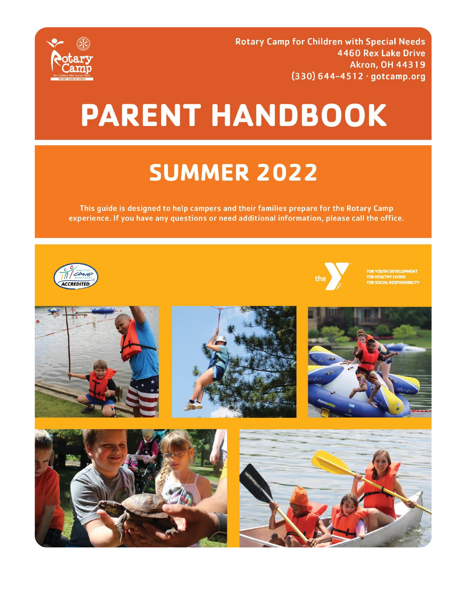

**Rotary Camp for Children with Special Needs** 4460 Rex Lake Drive **Akron, OH 44319**  $(330) 644 - 4512 \cdot gotcamp.org$ 

# **PARENT HANDBOOK**

# **SUMMER 2022**

This guide is designed to help campers and their families prepare for the Rotary Camp experience. If you have any questions or need additional information, please call the office.













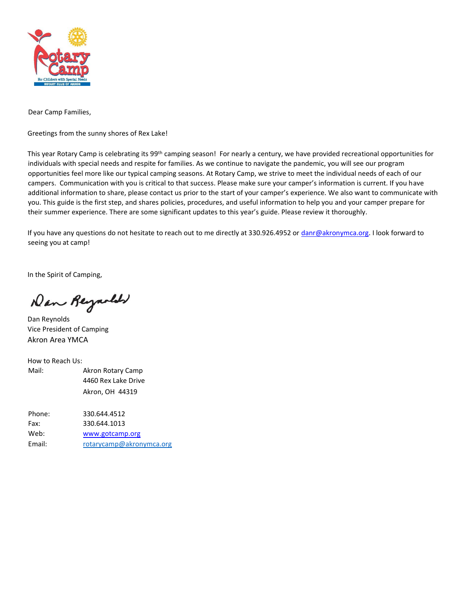

Dear Camp Families,

Greetings from the sunny shores of Rex Lake!

This year Rotary Camp is celebrating its 99<sup>th</sup> camping season! For nearly a century, we have provided recreational opportunities for individuals with special needs and respite for families. As we continue to navigate the pandemic, you will see our program opportunities feel more like our typical camping seasons. At Rotary Camp, we strive to meet the individual needs of each of our campers. Communication with you is critical to that success. Please make sure your camper's information is current. If you have additional information to share, please contact us prior to the start of your camper's experience. We also want to communicate with you. This guide is the first step, and shares policies, procedures, and useful information to help you and your camper prepare for their summer experience. There are some significant updates to this year's guide. Please review it thoroughly.

If you have any questions do not hesitate to reach out to me directly at 330.926.4952 or danr@akronymca.org. I look forward to seeing you at camp!

In the Spirit of Camping,

New Reyarder

Dan Reynolds Vice President of Camping Akron Area YMCA

How to Reach Us: Mail: Akron Rotary Camp 4460 Rex Lake Drive Akron, OH 44319

Phone: 330.644.4512 Fax: 330.644.1013 Web: [www.gotcamp.org](http://www.gotcamp.org/) Email: [rotarycamp@akronymca.org](mailto:rotarycamp@akronymca.org)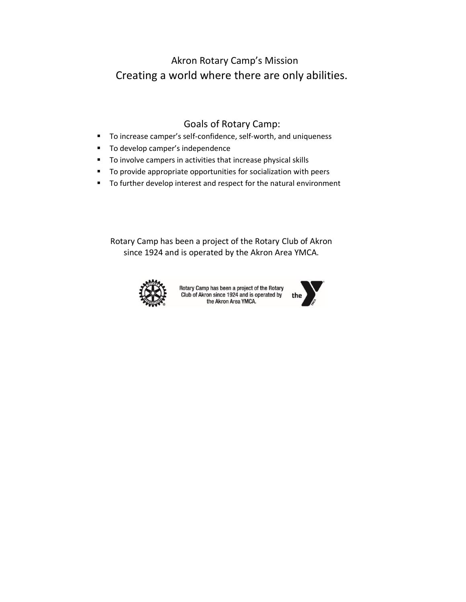## Akron Rotary Camp's Mission Creating a world where there are only abilities.

### Goals of Rotary Camp:

- To increase camper's self-confidence, self-worth, and uniqueness
- To develop camper's independence
- To involve campers in activities that increase physical skills
- To provide appropriate opportunities for socialization with peers
- To further develop interest and respect for the natural environment

Rotary Camp has been a project of the Rotary Club of Akron since 1924 and is operated by the Akron Area YMCA.



Rotary Camp has been a project of the Rotary<br>Club of Akron since 1924 and is operated by<br>the Akron Area YMCA.

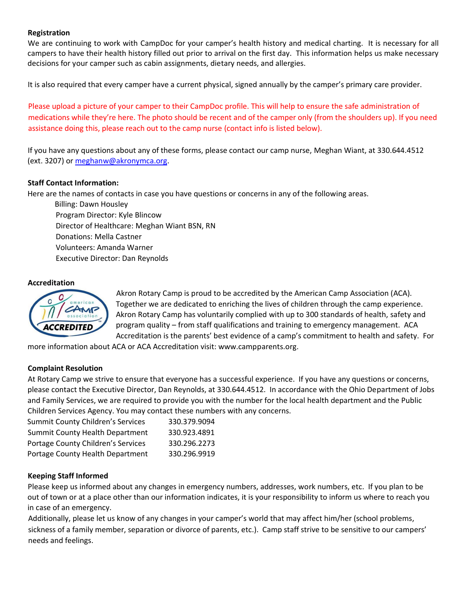#### **Registration**

We are continuing to work with CampDoc for your camper's health history and medical charting. It is necessary for all campers to have their health history filled out prior to arrival on the first day. This information helps us make necessary decisions for your camper such as cabin assignments, dietary needs, and allergies.

It is also required that every camper have a current physical, signed annually by the camper's primary care provider.

Please upload a picture of your camper to their CampDoc profile. This will help to ensure the safe administration of medications while they're here. The photo should be recent and of the camper only (from the shoulders up). If you need assistance doing this, please reach out to the camp nurse (contact info is listed below).

If you have any questions about any of these forms, please contact our camp nurse, Meghan Wiant, at 330.644.4512 (ext. 3207) or meghanw@akronymca.org.

#### **Staff Contact Information:**

Here are the names of contacts in case you have questions or concerns in any of the following areas.

Billing: Dawn Housley Program Director: Kyle Blincow Director of Healthcare: Meghan Wiant BSN, RN Donations: Mella Castner Volunteers: Amanda Warner Executive Director: Dan Reynolds

#### **Accreditation**



Akron Rotary Camp is proud to be accredited by the American Camp Association (ACA). Together we are dedicated to enriching the lives of children through the camp experience. Akron Rotary Camp has voluntarily complied with up to 300 standards of health, safety and program quality – from staff qualifications and training to emergency management. ACA Accreditation is the parents' best evidence of a camp's commitment to health and safety. For

more information about ACA or ACA Accreditation visit: www.campparents.org.

#### **Complaint Resolution**

At Rotary Camp we strive to ensure that everyone has a successful experience. If you have any questions or concerns, please contact the Executive Director, Dan Reynolds, at 330.644.4512. In accordance with the Ohio Department of Jobs and Family Services, we are required to provide you with the number for the local health department and the Public Children Services Agency. You may contact these numbers with any concerns.

| <b>Summit County Children's Services</b> | 330.379.9094 |
|------------------------------------------|--------------|
| Summit County Health Department          | 330.923.4891 |
| Portage County Children's Services       | 330.296.2273 |
| Portage County Health Department         | 330.296.9919 |

#### **Keeping Staff Informed**

Please keep us informed about any changes in emergency numbers, addresses, work numbers, etc. If you plan to be out of town or at a place other than our information indicates, it is your responsibility to inform us where to reach you in case of an emergency.

Additionally, please let us know of any changes in your camper's world that may affect him/her (school problems, sickness of a family member, separation or divorce of parents, etc.). Camp staff strive to be sensitive to our campers' needs and feelings.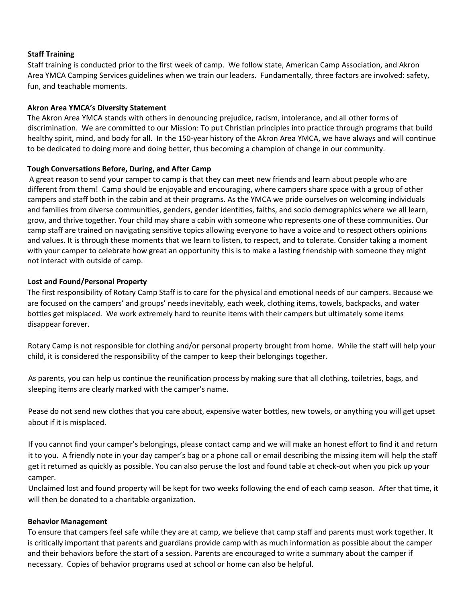#### **Staff Training**

Staff training is conducted prior to the first week of camp. We follow state, American Camp Association, and Akron Area YMCA Camping Services guidelines when we train our leaders. Fundamentally, three factors are involved: safety, fun, and teachable moments.

#### **Akron Area YMCA's Diversity Statement**

The Akron Area YMCA stands with others in denouncing prejudice, racism, intolerance, and all other forms of discrimination. We are committed to our Mission: To put Christian principles into practice through programs that build healthy spirit, mind, and body for all. In the 150-year history of the Akron Area YMCA, we have always and will continue to be dedicated to doing more and doing better, thus becoming a champion of change in our community.

#### **Tough Conversations Before, During, and After Camp**

A great reason to send your camper to camp is that they can meet new friends and learn about people who are different from them! Camp should be enjoyable and encouraging, where campers share space with a group of other campers and staff both in the cabin and at their programs. As the YMCA we pride ourselves on welcoming individuals and families from diverse communities, genders, gender identities, faiths, and socio demographics where we all learn, grow, and thrive together. Your child may share a cabin with someone who represents one of these communities. Our camp staff are trained on navigating sensitive topics allowing everyone to have a voice and to respect others opinions and values. It is through these moments that we learn to listen, to respect, and to tolerate. Consider taking a moment with your camper to celebrate how great an opportunity this is to make a lasting friendship with someone they might not interact with outside of camp.

#### **Lost and Found/Personal Property**

The first responsibility of Rotary Camp Staff is to care for the physical and emotional needs of our campers. Because we are focused on the campers' and groups' needs inevitably, each week, clothing items, towels, backpacks, and water bottles get misplaced. We work extremely hard to reunite items with their campers but ultimately some items disappear forever.

Rotary Camp is not responsible for clothing and/or personal property brought from home. While the staff will help your child, it is considered the responsibility of the camper to keep their belongings together.

As parents, you can help us continue the reunification process by making sure that all clothing, toiletries, bags, and sleeping items are clearly marked with the camper's name.

Pease do not send new clothes that you care about, expensive water bottles, new towels, or anything you will get upset about if it is misplaced.

If you cannot find your camper's belongings, please contact camp and we will make an honest effort to find it and return it to you. A friendly note in your day camper's bag or a phone call or email describing the missing item will help the staff get it returned as quickly as possible. You can also peruse the lost and found table at check-out when you pick up your camper.

Unclaimed lost and found property will be kept for two weeks following the end of each camp season. After that time, it will then be donated to a charitable organization.

#### **Behavior Management**

To ensure that campers feel safe while they are at camp, we believe that camp staff and parents must work together. It is critically important that parents and guardians provide camp with as much information as possible about the camper and their behaviors before the start of a session. Parents are encouraged to write a summary about the camper if necessary. Copies of behavior programs used at school or home can also be helpful.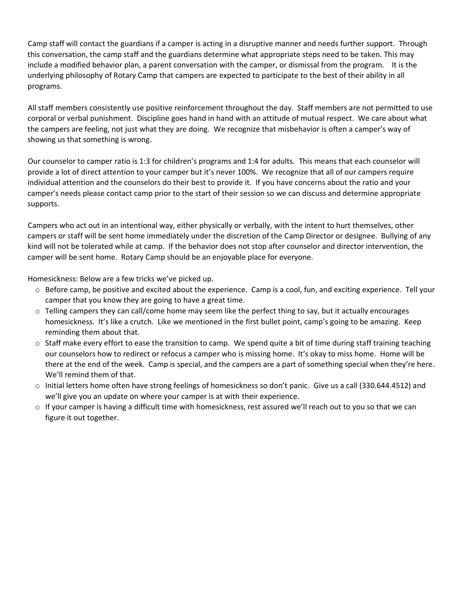Camp staff will contact the guardians if a camper is acting in a disruptive manner and needs further support. Through this conversation, the camp staff and the guardians determine what appropriate steps need to be taken. This may include a modified behavior plan, a parent conversation with the camper, or dismissal from the program. It is the underlying philosophy of Rotary Camp that campers are expected to participate to the best of their ability in all programs.

All staff members consistently use positive reinforcement throughout the day. Staff members are not permitted to use corporal or verbal punishment. Discipline goes hand in hand with an attitude of mutual respect. We care about what the campers are feeling, not just what they are doing. We recognize that misbehavior is often a camper's way of showing us that something is wrong.

Our counselor to camper ratio is 1:3 for children's programs and 1:4 for adults. This means that each counselor will provide a lot of direct attention to your camper but it's never 100%. We recognize that all of our campers require individual attention and the counselors do their best to provide it. If you have concerns about the ratio and your camper's needs please contact camp prior to the start of their session so we can discuss and determine appropriate supports.

Campers who act out in an intentional way, either physically or verbally, with the intent to hurt themselves, other campers or staff will be sent home immediately under the discretion of the Camp Director or designee. Bullying of any kind will not be tolerated while at camp. If the behavior does not stop after counselor and director intervention, the camper will be sent home. Rotary Camp should be an enjoyable place for everyone.

Homesickness: Below are a few tricks we've picked up.

- $\circ$  Before camp, be positive and excited about the experience. Camp is a cool, fun, and exciting experience. Tell your camper that you know they are going to have a great time.
- $\circ$  Telling campers they can call/come home may seem like the perfect thing to say, but it actually encourages homesickness. It's like a crutch. Like we mentioned in the first bullet point, camp's going to be amazing. Keep reminding them about that.
- $\circ$  Staff make every effort to ease the transition to camp. We spend quite a bit of time during staff training teaching our counselors how to redirect or refocus a camper who is missing home. It's okay to miss home. Home will be there at the end of the week. Camp is special, and the campers are a part of something special when they're here. We'll remind them of that.
- o Initial letters home often have strong feelings of homesickness so don't panic. Give us a call (330.644.4512) and we'll give you an update on where your camper is at with their experience.
- $\circ$  If your camper is having a difficult time with homesickness, rest assured we'll reach out to you so that we can figure it out together.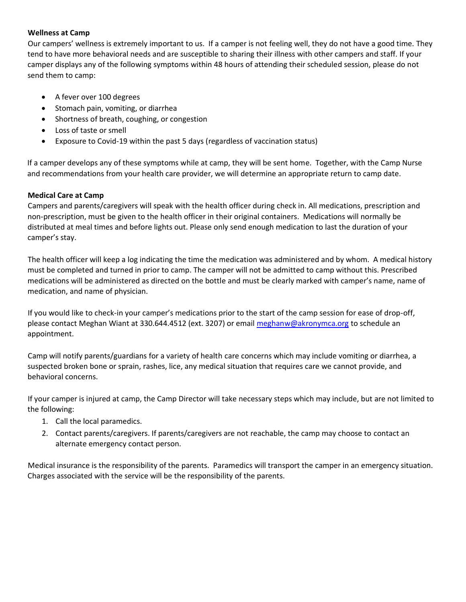#### **Wellness at Camp**

Our campers' wellness is extremely important to us. If a camper is not feeling well, they do not have a good time. They tend to have more behavioral needs and are susceptible to sharing their illness with other campers and staff. If your camper displays any of the following symptoms within 48 hours of attending their scheduled session, please do not send them to camp:

- A fever over 100 degrees
- Stomach pain, vomiting, or diarrhea
- Shortness of breath, coughing, or congestion
- Loss of taste or smell
- Exposure to Covid-19 within the past 5 days (regardless of vaccination status)

If a camper develops any of these symptoms while at camp, they will be sent home. Together, with the Camp Nurse and recommendations from your health care provider, we will determine an appropriate return to camp date.

#### **Medical Care at Camp**

Campers and parents/caregivers will speak with the health officer during check in. All medications, prescription and non-prescription, must be given to the health officer in their original containers. Medications will normally be distributed at meal times and before lights out. Please only send enough medication to last the duration of your camper's stay.

The health officer will keep a log indicating the time the medication was administered and by whom. A medical history must be completed and turned in prior to camp. The camper will not be admitted to camp without this. Prescribed medications will be administered as directed on the bottle and must be clearly marked with camper's name, name of medication, and name of physician.

If you would like to check-in your camper's medications prior to the start of the camp session for ease of drop-off, please contact Meghan Wiant at 330.644.4512 (ext. 3207) or email meghanw@akronymca.org to schedule an appointment.

Camp will notify parents/guardians for a variety of health care concerns which may include vomiting or diarrhea, a suspected broken bone or sprain, rashes, lice, any medical situation that requires care we cannot provide, and behavioral concerns.

If your camper is injured at camp, the Camp Director will take necessary steps which may include, but are not limited to the following:

- 1. Call the local paramedics.
- 2. Contact parents/caregivers. If parents/caregivers are not reachable, the camp may choose to contact an alternate emergency contact person.

Medical insurance is the responsibility of the parents. Paramedics will transport the camper in an emergency situation. Charges associated with the service will be the responsibility of the parents.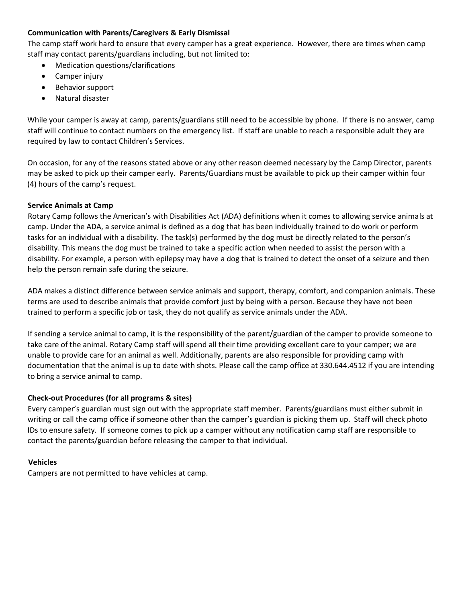#### **Communication with Parents/Caregivers & Early Dismissal**

The camp staff work hard to ensure that every camper has a great experience. However, there are times when camp staff may contact parents/guardians including, but not limited to:

- Medication questions/clarifications
- Camper injury
- Behavior support
- Natural disaster

While your camper is away at camp, parents/guardians still need to be accessible by phone. If there is no answer, camp staff will continue to contact numbers on the emergency list. If staff are unable to reach a responsible adult they are required by law to contact Children's Services.

On occasion, for any of the reasons stated above or any other reason deemed necessary by the Camp Director, parents may be asked to pick up their camper early. Parents/Guardians must be available to pick up their camper within four (4) hours of the camp's request.

#### **Service Animals at Camp**

Rotary Camp follows the American's with Disabilities Act (ADA) definitions when it comes to allowing service animals at camp. Under the ADA, a service animal is defined as a dog that has been individually trained to do work or perform tasks for an individual with a disability. The task(s) performed by the dog must be directly related to the person's disability. This means the dog must be trained to take a specific action when needed to assist the person with a disability. For example, a person with epilepsy may have a dog that is trained to detect the onset of a seizure and then help the person remain safe during the seizure.

ADA makes a distinct difference between service animals and support, therapy, comfort, and companion animals. These terms are used to describe animals that provide comfort just by being with a person. Because they have not been trained to perform a specific job or task, they do not qualify as service animals under the ADA.

If sending a service animal to camp, it is the responsibility of the parent/guardian of the camper to provide someone to take care of the animal. Rotary Camp staff will spend all their time providing excellent care to your camper; we are unable to provide care for an animal as well. Additionally, parents are also responsible for providing camp with documentation that the animal is up to date with shots. Please call the camp office at 330.644.4512 if you are intending to bring a service animal to camp.

#### **Check-out Procedures (for all programs & sites)**

Every camper's guardian must sign out with the appropriate staff member. Parents/guardians must either submit in writing or call the camp office if someone other than the camper's guardian is picking them up. Staff will check photo IDs to ensure safety. If someone comes to pick up a camper without any notification camp staff are responsible to contact the parents/guardian before releasing the camper to that individual.

#### **Vehicles**

Campers are not permitted to have vehicles at camp.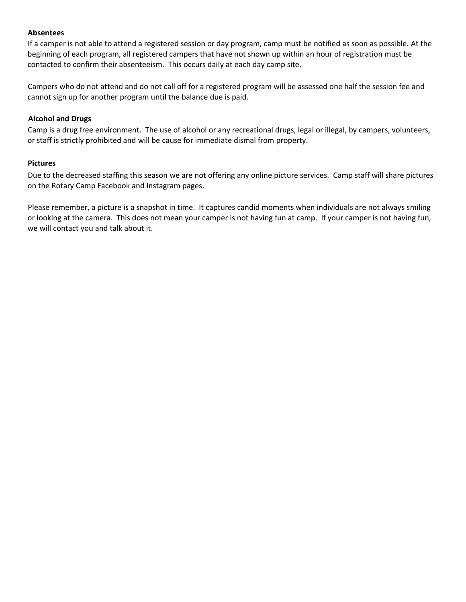#### **Absentees**

If a camper is not able to attend a registered session or day program, camp must be notified as soon as possible. At the beginning of each program, all registered campers that have not shown up within an hour of registration must be contacted to confirm their absenteeism. This occurs daily at each day camp site.

Campers who do not attend and do not call off for a registered program will be assessed one half the session fee and cannot sign up for another program until the balance due is paid.

#### **Alcohol and Drugs**

Camp is a drug free environment. The use of alcohol or any recreational drugs, legal or illegal, by campers, volunteers, or staff is strictly prohibited and will be cause for immediate dismal from property.

#### **Pictures**

Due to the decreased staffing this season we are not offering any online picture services. Camp staff will share pictures on the Rotary Camp Facebook and Instagram pages.

Please remember, a picture is a snapshot in time. It captures candid moments when individuals are not always smiling or looking at the camera. This does not mean your camper is not having fun at camp. If your camper is not having fun, we will contact you and talk about it.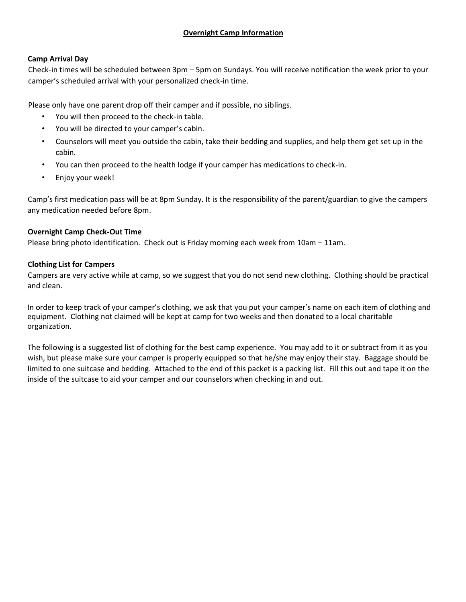#### **Overnight Camp Information**

#### **Camp Arrival Day**

Check-in times will be scheduled between 3pm – 5pm on Sundays. You will receive notification the week prior to your camper's scheduled arrival with your personalized check-in time.

Please only have one parent drop off their camper and if possible, no siblings.

- You will then proceed to the check-in table.
- You will be directed to your camper's cabin.
- Counselors will meet you outside the cabin, take their bedding and supplies, and help them get set up in the cabin.
- You can then proceed to the health lodge if your camper has medications to check-in.
- Enjoy your week!

Camp's first medication pass will be at 8pm Sunday. It is the responsibility of the parent/guardian to give the campers any medication needed before 8pm.

#### **Overnight Camp Check-Out Time**

Please bring photo identification. Check out is Friday morning each week from 10am – 11am.

#### **Clothing List for Campers**

Campers are very active while at camp, so we suggest that you do not send new clothing. Clothing should be practical and clean.

In order to keep track of your camper's clothing, we ask that you put your camper's name on each item of clothing and equipment. Clothing not claimed will be kept at camp for two weeks and then donated to a local charitable organization.

The following is a suggested list of clothing for the best camp experience. You may add to it or subtract from it as you wish, but please make sure your camper is properly equipped so that he/she may enjoy their stay. Baggage should be limited to one suitcase and bedding. Attached to the end of this packet is a packing list. Fill this out and tape it on the inside of the suitcase to aid your camper and our counselors when checking in and out.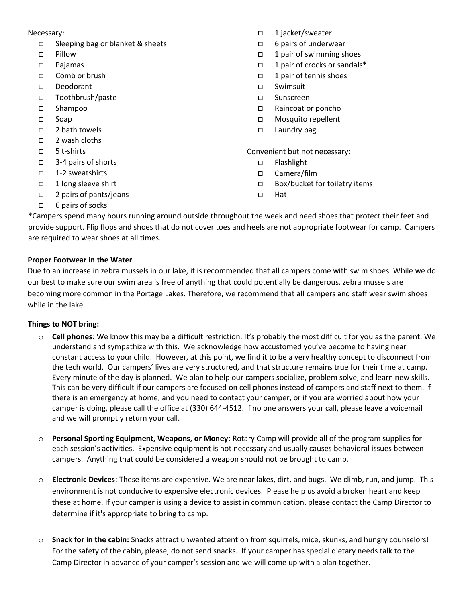#### Necessary:

- □ Sleeping bag or blanket & sheets
- Pillow
- Pajamas
- Comb or brush
- Deodorant
- Toothbrush/paste
- Shampoo
- Soap
- □ 2 bath towels
- 2 wash cloths
- 5 t-shirts
- 3-4 pairs of shorts
- □ 1-2 sweatshirts
- 1 long sleeve shirt
- □ 2 pairs of pants/jeans
- □ 1 jacket/sweater
- □ 6 pairs of underwear
- 1 pair of swimming shoes
- 1 pair of crocks or sandals\*
- $\Box$  1 pair of tennis shoes
- Swimsuit
- Sunscreen
- Raincoat or poncho
- Mosquito repellent
- □ Laundry bag

Convenient but not necessary:

- □ Flashlight
- Camera/film
- □ Box/bucket for toiletry items
- □ Hat

□ 6 pairs of socks

\*Campers spend many hours running around outside throughout the week and need shoes that protect their feet and provide support. Flip flops and shoes that do not cover toes and heels are not appropriate footwear for camp. Campers are required to wear shoes at all times.

#### **Proper Footwear in the Water**

Due to an increase in zebra mussels in our lake, it is recommended that all campers come with swim shoes. While we do our best to make sure our swim area is free of anything that could potentially be dangerous, zebra mussels are becoming more common in the Portage Lakes. Therefore, we recommend that all campers and staff wear swim shoes while in the lake.

#### **Things to NOT bring:**

- o **Cell phones**: We know this may be a difficult restriction. It's probably the most difficult for you as the parent. We understand and sympathize with this. We acknowledge how accustomed you've become to having near constant access to your child. However, at this point, we find it to be a very healthy concept to disconnect from the tech world. Our campers' lives are very structured, and that structure remains true for their time at camp. Every minute of the day is planned. We plan to help our campers socialize, problem solve, and learn new skills. This can be very difficult if our campers are focused on cell phones instead of campers and staff next to them. If there is an emergency at home, and you need to contact your camper, or if you are worried about how your camper is doing, please call the office at (330) 644-4512. If no one answers your call, please leave a voicemail and we will promptly return your call.
- o **Personal Sporting Equipment, Weapons, or Money**: Rotary Camp will provide all of the program supplies for each session's activities. Expensive equipment is not necessary and usually causes behavioral issues between campers. Anything that could be considered a weapon should not be brought to camp.
- o **Electronic Devices**: These items are expensive. We are near lakes, dirt, and bugs. We climb, run, and jump. This environment is not conducive to expensive electronic devices. Please help us avoid a broken heart and keep these at home. If your camper is using a device to assist in communication, please contact the Camp Director to determine if it's appropriate to bring to camp.
- o **Snack for in the cabin:** Snacks attract unwanted attention from squirrels, mice, skunks, and hungry counselors! For the safety of the cabin, please, do not send snacks. If your camper has special dietary needs talk to the Camp Director in advance of your camper's session and we will come up with a plan together.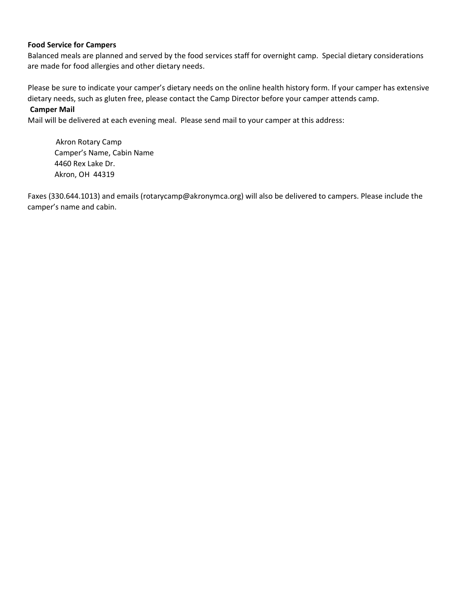#### **Food Service for Campers**

Balanced meals are planned and served by the food services staff for overnight camp. Special dietary considerations are made for food allergies and other dietary needs.

Please be sure to indicate your camper's dietary needs on the online health history form. If your camper has extensive dietary needs, such as gluten free, please contact the Camp Director before your camper attends camp.

#### **Camper Mail**

Mail will be delivered at each evening meal. Please send mail to your camper at this address:

Akron Rotary Camp Camper's Name, Cabin Name 4460 Rex Lake Dr. Akron, OH 44319

Faxes (330.644.1013) and emails (rotarycamp@akronymca.org) will also be delivered to campers. Please include the camper's name and cabin.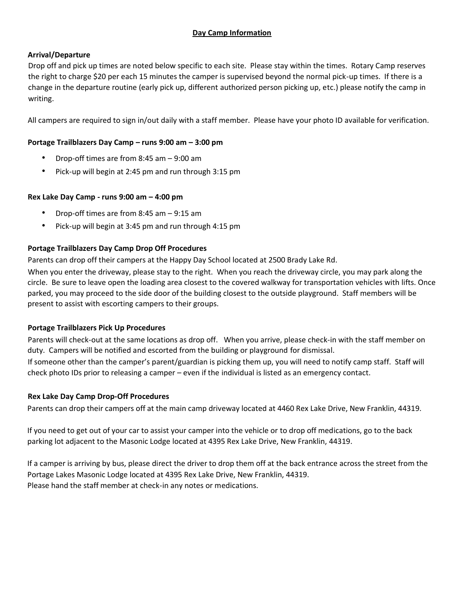#### **Day Camp Information**

#### **Arrival/Departure**

Drop off and pick up times are noted below specific to each site. Please stay within the times. Rotary Camp reserves the right to charge \$20 per each 15 minutes the camper is supervised beyond the normal pick-up times. If there is a change in the departure routine (early pick up, different authorized person picking up, etc.) please notify the camp in writing.

All campers are required to sign in/out daily with a staff member. Please have your photo ID available for verification.

#### **Portage Trailblazers Day Camp – runs 9:00 am – 3:00 pm**

- Drop-off times are from 8:45 am 9:00 am
- Pick-up will begin at 2:45 pm and run through 3:15 pm

#### **Rex Lake Day Camp - runs 9:00 am – 4:00 pm**

- Drop-off times are from 8:45 am 9:15 am
- Pick-up will begin at 3:45 pm and run through 4:15 pm

#### **Portage Trailblazers Day Camp Drop Off Procedures**

Parents can drop off their campers at the Happy Day School located at 2500 Brady Lake Rd.

When you enter the driveway, please stay to the right. When you reach the driveway circle, you may park along the circle. Be sure to leave open the loading area closest to the covered walkway for transportation vehicles with lifts. Once parked, you may proceed to the side door of the building closest to the outside playground. Staff members will be present to assist with escorting campers to their groups.

#### **Portage Trailblazers Pick Up Procedures**

Parents will check-out at the same locations as drop off. When you arrive, please check-in with the staff member on duty. Campers will be notified and escorted from the building or playground for dismissal.

If someone other than the camper's parent/guardian is picking them up, you will need to notify camp staff. Staff will check photo IDs prior to releasing a camper – even if the individual is listed as an emergency contact.

#### **Rex Lake Day Camp Drop-Off Procedures**

Parents can drop their campers off at the main camp driveway located at 4460 Rex Lake Drive, New Franklin, 44319.

If you need to get out of your car to assist your camper into the vehicle or to drop off medications, go to the back parking lot adjacent to the Masonic Lodge located at 4395 Rex Lake Drive, New Franklin, 44319.

If a camper is arriving by bus, please direct the driver to drop them off at the back entrance across the street from the Portage Lakes Masonic Lodge located at 4395 Rex Lake Drive, New Franklin, 44319. Please hand the staff member at check-in any notes or medications.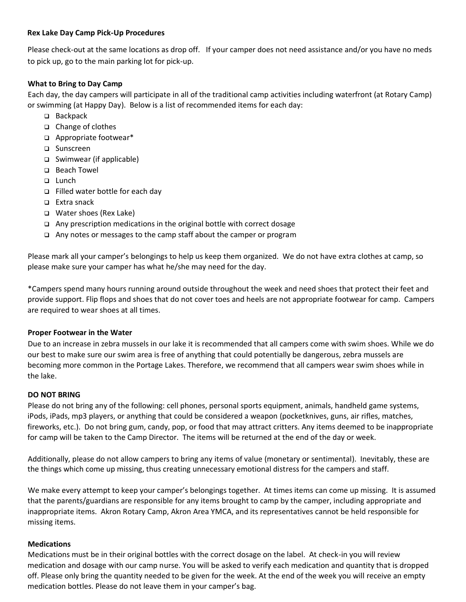#### **Rex Lake Day Camp Pick-Up Procedures**

Please check-out at the same locations as drop off. If your camper does not need assistance and/or you have no meds to pick up, go to the main parking lot for pick-up.

#### **What to Bring to Day Camp**

Each day, the day campers will participate in all of the traditional camp activities including waterfront (at Rotary Camp) or swimming (at Happy Day). Below is a list of recommended items for each day:

- ❑ Backpack
- ❑ Change of clothes
- ❑ Appropriate footwear\*
- ❑ Sunscreen
- ❑ Swimwear (if applicable)
- ❑ Beach Towel
- ❑ Lunch
- ❑ Filled water bottle for each day
- ❑ Extra snack
- ❑ Water shoes (Rex Lake)
- ❑ Any prescription medications in the original bottle with correct dosage
- ❑ Any notes or messages to the camp staff about the camper or program

Please mark all your camper's belongings to help us keep them organized. We do not have extra clothes at camp, so please make sure your camper has what he/she may need for the day.

\*Campers spend many hours running around outside throughout the week and need shoes that protect their feet and provide support. Flip flops and shoes that do not cover toes and heels are not appropriate footwear for camp. Campers are required to wear shoes at all times.

#### **Proper Footwear in the Water**

Due to an increase in zebra mussels in our lake it is recommended that all campers come with swim shoes. While we do our best to make sure our swim area is free of anything that could potentially be dangerous, zebra mussels are becoming more common in the Portage Lakes. Therefore, we recommend that all campers wear swim shoes while in the lake.

#### **DO NOT BRING**

Please do not bring any of the following: cell phones, personal sports equipment, animals, handheld game systems, iPods, iPads, mp3 players, or anything that could be considered a weapon (pocketknives, guns, air rifles, matches, fireworks, etc.). Do not bring gum, candy, pop, or food that may attract critters. Any items deemed to be inappropriate for camp will be taken to the Camp Director. The items will be returned at the end of the day or week.

Additionally, please do not allow campers to bring any items of value (monetary or sentimental). Inevitably, these are the things which come up missing, thus creating unnecessary emotional distress for the campers and staff.

We make every attempt to keep your camper's belongings together. At times items can come up missing. It is assumed that the parents/guardians are responsible for any items brought to camp by the camper, including appropriate and inappropriate items. Akron Rotary Camp, Akron Area YMCA, and its representatives cannot be held responsible for missing items.

#### **Medications**

Medications must be in their original bottles with the correct dosage on the label. At check-in you will review medication and dosage with our camp nurse. You will be asked to verify each medication and quantity that is dropped off. Please only bring the quantity needed to be given for the week. At the end of the week you will receive an empty medication bottles. Please do not leave them in your camper's bag.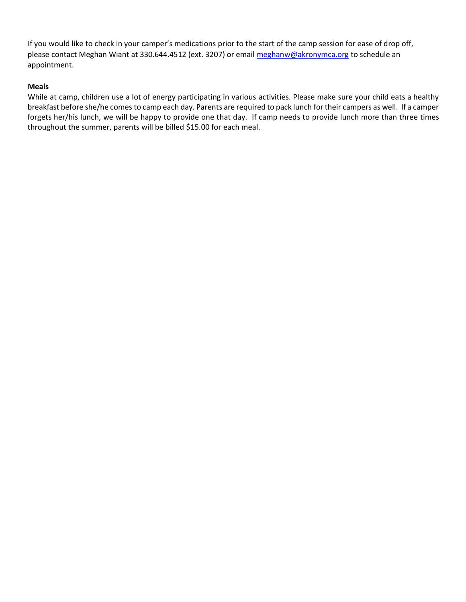If you would like to check in your camper's medications prior to the start of the camp session for ease of drop off, please contact Meghan Wiant at 330.644.4512 (ext. 3207) or email meghanw@akronymca.org to schedule an appointment.

#### **Meals**

While at camp, children use a lot of energy participating in various activities. Please make sure your child eats a healthy breakfast before she/he comes to camp each day. Parents are required to pack lunch for their campers as well. If a camper forgets her/his lunch, we will be happy to provide one that day. If camp needs to provide lunch more than three times throughout the summer, parents will be billed \$15.00 for each meal.